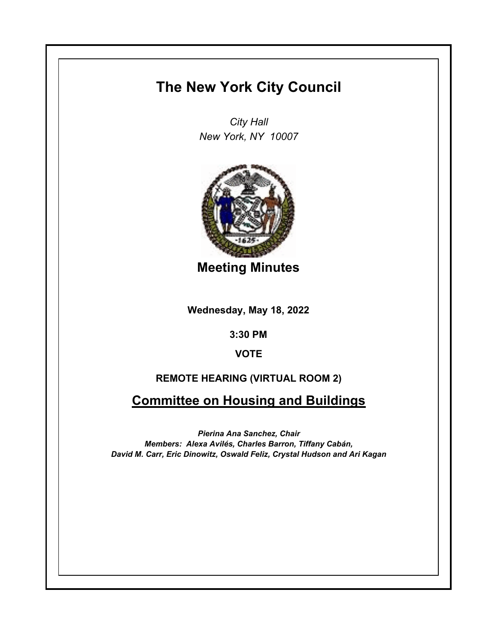# **The New York City Council**

*City Hall New York, NY 10007*



**Meeting Minutes**

**Wednesday, May 18, 2022**

**3:30 PM**

**VOTE**

# **REMOTE HEARING (VIRTUAL ROOM 2)**

**Committee on Housing and Buildings**

*Pierina Ana Sanchez, Chair Members: Alexa Avilés, Charles Barron, Tiffany Cabán, David M. Carr, Eric Dinowitz, Oswald Feliz, Crystal Hudson and Ari Kagan*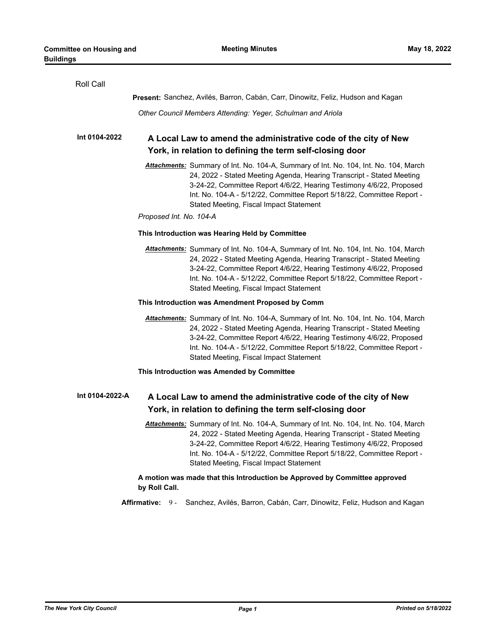| Roll Call                                                                                                                                                                                                                                                                                                                                                  |  |  |
|------------------------------------------------------------------------------------------------------------------------------------------------------------------------------------------------------------------------------------------------------------------------------------------------------------------------------------------------------------|--|--|
| Present: Sanchez, Avilés, Barron, Cabán, Carr, Dinowitz, Feliz, Hudson and Kagan                                                                                                                                                                                                                                                                           |  |  |
| Other Council Members Attending: Yeger, Schulman and Ariola                                                                                                                                                                                                                                                                                                |  |  |
| Int 0104-2022<br>A Local Law to amend the administrative code of the city of New<br>York, in relation to defining the term self-closing door                                                                                                                                                                                                               |  |  |
| Attachments: Summary of Int. No. 104-A, Summary of Int. No. 104, Int. No. 104, March<br>24, 2022 - Stated Meeting Agenda, Hearing Transcript - Stated Meeting<br>3-24-22, Committee Report 4/6/22, Hearing Testimony 4/6/22, Proposed<br>Int. No. 104-A - 5/12/22, Committee Report 5/18/22, Committee Report -<br>Stated Meeting, Fiscal Impact Statement |  |  |
| Proposed Int. No. 104-A                                                                                                                                                                                                                                                                                                                                    |  |  |
| This Introduction was Hearing Held by Committee                                                                                                                                                                                                                                                                                                            |  |  |
| Attachments: Summary of Int. No. 104-A, Summary of Int. No. 104, Int. No. 104, March<br>24, 2022 - Stated Meeting Agenda, Hearing Transcript - Stated Meeting<br>3-24-22, Committee Report 4/6/22, Hearing Testimony 4/6/22, Proposed<br>Int. No. 104-A - 5/12/22, Committee Report 5/18/22, Committee Report -<br>Stated Meeting, Fiscal Impact Statement |  |  |
| This Introduction was Amendment Proposed by Comm                                                                                                                                                                                                                                                                                                           |  |  |
| Attachments: Summary of Int. No. 104-A, Summary of Int. No. 104, Int. No. 104, March<br>24, 2022 - Stated Meeting Agenda, Hearing Transcript - Stated Meeting<br>3-24-22, Committee Report 4/6/22, Hearing Testimony 4/6/22, Proposed<br>Int. No. 104-A - 5/12/22, Committee Report 5/18/22, Committee Report -<br>Stated Meeting, Fiscal Impact Statement |  |  |
| This Introduction was Amended by Committee                                                                                                                                                                                                                                                                                                                 |  |  |
| Int 0104-2022-A<br>A Local Law to amend the administrative code of the city of New<br>York, in relation to defining the term self-closing door                                                                                                                                                                                                             |  |  |
| Attachments: Summary of Int. No. 104-A, Summary of Int. No. 104, Int. No. 104, March<br>24, 2022 - Stated Meeting Agenda, Hearing Transcript - Stated Meeting<br>3-24-22, Committee Report 4/6/22, Hearing Testimony 4/6/22, Proposed<br>Int. No. 104-A - 5/12/22, Committee Report 5/18/22, Committee Report -<br>Stated Meeting, Fiscal Impact Statement |  |  |
| A motion was made that this Introduction be Approved by Committee approved<br>by Roll Call.                                                                                                                                                                                                                                                                |  |  |
| Sanchez, Avilés, Barron, Cabán, Carr, Dinowitz, Feliz, Hudson and Kagan<br><b>Affirmative:</b><br>$9 -$                                                                                                                                                                                                                                                    |  |  |
|                                                                                                                                                                                                                                                                                                                                                            |  |  |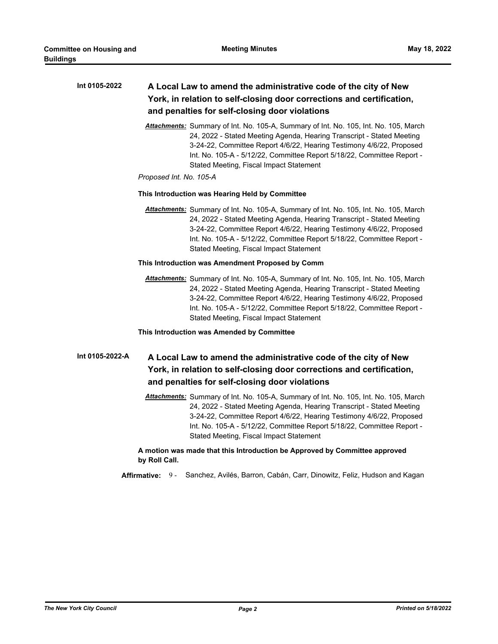| Int 0105-2022 | A Local Law to amend the administrative code of the city of New       |
|---------------|-----------------------------------------------------------------------|
|               | York, in relation to self-closing door corrections and certification, |
|               | and penalties for self-closing door violations                        |

*Attachments:* Summary of Int. No. 105-A, Summary of Int. No. 105, Int. No. 105, March 24, 2022 - Stated Meeting Agenda, Hearing Transcript - Stated Meeting 3-24-22, Committee Report 4/6/22, Hearing Testimony 4/6/22, Proposed Int. No. 105-A - 5/12/22, Committee Report 5/18/22, Committee Report - Stated Meeting, Fiscal Impact Statement

#### *Proposed Int. No. 105-A*

#### **This Introduction was Hearing Held by Committee**

*Attachments:* Summary of Int. No. 105-A, Summary of Int. No. 105, Int. No. 105, March 24, 2022 - Stated Meeting Agenda, Hearing Transcript - Stated Meeting 3-24-22, Committee Report 4/6/22, Hearing Testimony 4/6/22, Proposed Int. No. 105-A - 5/12/22, Committee Report 5/18/22, Committee Report - Stated Meeting, Fiscal Impact Statement

# **This Introduction was Amendment Proposed by Comm**

*Attachments:* Summary of Int. No. 105-A, Summary of Int. No. 105, Int. No. 105, March 24, 2022 - Stated Meeting Agenda, Hearing Transcript - Stated Meeting 3-24-22, Committee Report 4/6/22, Hearing Testimony 4/6/22, Proposed Int. No. 105-A - 5/12/22, Committee Report 5/18/22, Committee Report - Stated Meeting, Fiscal Impact Statement

# **This Introduction was Amended by Committee**

#### **A Local Law to amend the administrative code of the city of New York, in relation to self-closing door corrections and certification, and penalties for self-closing door violations Int 0105-2022-A**

*Attachments:* Summary of Int. No. 105-A, Summary of Int. No. 105, Int. No. 105, March 24, 2022 - Stated Meeting Agenda, Hearing Transcript - Stated Meeting 3-24-22, Committee Report 4/6/22, Hearing Testimony 4/6/22, Proposed Int. No. 105-A - 5/12/22, Committee Report 5/18/22, Committee Report - Stated Meeting, Fiscal Impact Statement

# **A motion was made that this Introduction be Approved by Committee approved by Roll Call.**

**Affirmative:** 9 - Sanchez, Avilés, Barron, Cabán, Carr, Dinowitz, Feliz, Hudson and Kagan